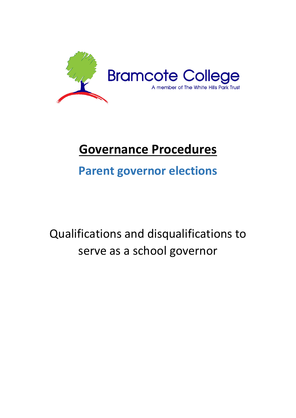

# **Governance Procedures**

## **Parent governor elections**

# Qualifications and disqualifications to serve as a school governor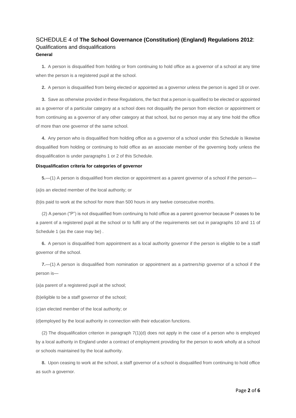## SCHEDULE 4 of **The School Governance (Constitution) (England) Regulations 2012**: Qualifications and disqualifications **General**

**1.** A person is disqualified from holding or from continuing to hold office as a governor of a school at any time when the person is a registered pupil at the school.

**2.** A person is disqualified from being elected or appointed as a governor unless the person is aged 18 or over.

**3.** Save as otherwise provided in these Regulations, the fact that a person is qualified to be elected or appointed as a governor of a particular category at a school does not disqualify the person from election or appointment or from continuing as a governor of any other category at that school, but no person may at any time hold the office of more than one governor of the same school.

**4.** Any person who is disqualified from holding office as a governor of a school under this Schedule is likewise disqualified from holding or continuing to hold office as an associate member of the governing body unless the disqualification is under paragraphs 1 or 2 of this Schedule.

## **Disqualification criteria for categories of governor**

**5.**—(1) A person is disqualified from election or appointment as a parent governor of a school if the person—

(a)is an elected member of the local authority; or

(b)is paid to work at the school for more than 500 hours in any twelve consecutive months.

(2) A person ("P") is not disqualified from continuing to hold office as a parent governor because P ceases to be a parent of a registered pupil at the school or to fulfil any of the requirements set out in paragraphs 10 and 11 of Schedule 1 (as the case may be) .

**6.** A person is disqualified from appointment as a local authority governor if the person is eligible to be a staff governor of the school.

**7.**—(1) A person is disqualified from nomination or appointment as a partnership governor of a school if the person is—

(a)a parent of a registered pupil at the school;

(b)eligible to be a staff governor of the school;

(c)an elected member of the local authority; or

(d)employed by the local authority in connection with their education functions.

(2) The disqualification criterion in paragraph 7(1)(d) does not apply in the case of a person who is employed by a local authority in England under a contract of employment providing for the person to work wholly at a school or schools maintained by the local authority.

**8.** Upon ceasing to work at the school, a staff governor of a school is disqualified from continuing to hold office as such a governor.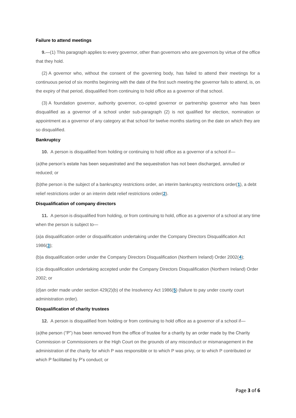## **Failure to attend meetings**

**9.**—(1) This paragraph applies to every governor, other than governors who are governors by virtue of the office that they hold.

(2) A governor who, without the consent of the governing body, has failed to attend their meetings for a continuous period of six months beginning with the date of the first such meeting the governor fails to attend, is, on the expiry of that period, disqualified from continuing to hold office as a governor of that school.

(3) A foundation governor, authority governor, co-opted governor or partnership governor who has been disqualified as a governor of a school under sub-paragraph (2) is not qualified for election, nomination or appointment as a governor of any category at that school for twelve months starting on the date on which they are so disqualified.

#### **Bankruptcy**

10. A person is disqualified from holding or continuing to hold office as a governor of a school if—

(a)the person's estate has been sequestrated and the sequestration has not been discharged, annulled or reduced; or

(b)the person is the subject of a bankruptcy restrictions order, an interim bankruptcy restrictions order(**[1](https://www.legislation.gov.uk/uksi/2012/1034/schedule/4/made?view=plain#f00017)**), a debt relief restrictions order or an interim debt relief restrictions order(**[2](https://www.legislation.gov.uk/uksi/2012/1034/schedule/4/made?view=plain#f00018)**).

## **Disqualification of company directors**

**11.** A person is disqualified from holding, or from continuing to hold, office as a governor of a school at any time when the person is subject to—

(a)a disqualification order or disqualification undertaking under the Company Directors Disqualification Act 1986(**[3](https://www.legislation.gov.uk/uksi/2012/1034/schedule/4/made?view=plain#f00019)**);

(b)a disqualification order under the Company Directors Disqualification (Northern Ireland) Order 2002(**[4](https://www.legislation.gov.uk/uksi/2012/1034/schedule/4/made?view=plain#f00020)**);

(c)a disqualification undertaking accepted under the Company Directors Disqualification (Northern Ireland) Order 2002; or

(d)an order made under section 429(2)(b) of the Insolvency Act 1986(**[5](https://www.legislation.gov.uk/uksi/2012/1034/schedule/4/made?view=plain#f00021)**) (failure to pay under county court administration order).

#### **Disqualification of charity trustees**

12. A person is disqualified from holding or from continuing to hold office as a governor of a school if—

(a)the person ("P") has been removed from the office of trustee for a charity by an order made by the Charity Commission or Commissioners or the High Court on the grounds of any misconduct or mismanagement in the administration of the charity for which P was responsible or to which P was privy, or to which P contributed or which P facilitated by P's conduct; or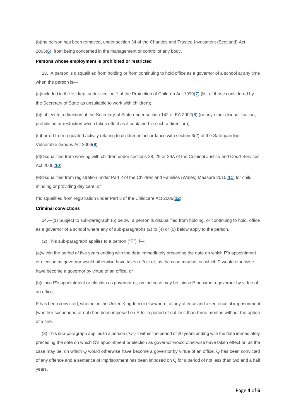(b)the person has been removed, under section 34 of the Charities and Trustee Investment (Scotland) Act 2005(**[6](https://www.legislation.gov.uk/uksi/2012/1034/schedule/4/made?view=plain#f00022)**), from being concerned in the management or control of any body.

#### **Persons whose employment is prohibited or restricted**

**13.** A person is disqualified from holding or from continuing to hold office as a governor of a school at any time when the person is—

(a)included in the list kept under section 1 of the Protection of Children Act 1999(**[7](https://www.legislation.gov.uk/uksi/2012/1034/schedule/4/made?view=plain#f00023)**) (list of those considered by the Secretary of State as unsuitable to work with children);

(b)subject to a direction of the Secretary of State under section 142 of EA 2002(**[8](https://www.legislation.gov.uk/uksi/2012/1034/schedule/4/made?view=plain#f00024)**) (or any other disqualification, prohibition or restriction which takes effect as if contained in such a direction);

(c)barred from regulated activity relating to children in accordance with section 3(2) of the Safeguarding Vulnerable Groups Act 2006(**[9](https://www.legislation.gov.uk/uksi/2012/1034/schedule/4/made?view=plain#f00025)**);

(d)disqualified from working with children under sections 28, 29 or 29A of the Criminal Justice and Court Services Act 2000(**[10](https://www.legislation.gov.uk/uksi/2012/1034/schedule/4/made?view=plain#f00026)**);

(e)disqualified from registration under Part 2 of the Children and Families (Wales) Measure 2010(**[11](https://www.legislation.gov.uk/uksi/2012/1034/schedule/4/made?view=plain#f00027)**) for child minding or providing day care; or

(f)disqualified from registration under Part 3 of the Childcare Act 2006(**[12](https://www.legislation.gov.uk/uksi/2012/1034/schedule/4/made?view=plain#f00028)**).

#### **Criminal convictions**

**14.**—(1) Subject to sub-paragraph (6) below, a person is disqualified from holding, or continuing to hold, office as a governor of a school where any of sub-paragraphs (2) to (4) or (6) below apply to the person.

(2) This sub-paragraph applies to a person ("P") if—

(a)within the period of five years ending with the date immediately preceding the date on which P's appointment or election as governor would otherwise have taken effect or, as the case may be, on which P would otherwise have become a governor by virtue of an office, or

(b)since P's appointment or election as governor or, as the case may be, since P became a governor by virtue of an office,

P has been convicted, whether in the United Kingdom or elsewhere, of any offence and a sentence of imprisonment (whether suspended or not) has been imposed on P for a period of not less than three months without the option of a fine.

(3) This sub-paragraph applies to a person ("Q") if within the period of 20 years ending with the date immediately preceding the date on which Q's appointment or election as governor would otherwise have taken effect or, as the case may be, on which Q would otherwise have become a governor by virtue of an office, Q has been convicted of any offence and a sentence of imprisonment has been imposed on Q for a period of not less than two and a half years.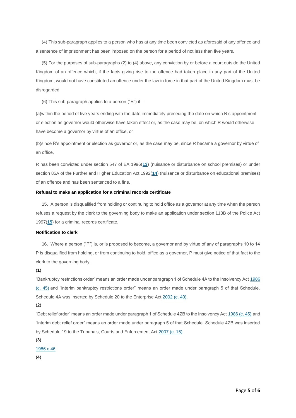(4) This sub-paragraph applies to a person who has at any time been convicted as aforesaid of any offence and a sentence of imprisonment has been imposed on the person for a period of not less than five years.

(5) For the purposes of sub-paragraphs (2) to (4) above, any conviction by or before a court outside the United Kingdom of an offence which, if the facts giving rise to the offence had taken place in any part of the United Kingdom, would not have constituted an offence under the law in force in that part of the United Kingdom must be disregarded.

(6) This sub-paragraph applies to a person ("R") if—

(a)within the period of five years ending with the date immediately preceding the date on which R's appointment or election as governor would otherwise have taken effect or, as the case may be, on which R would otherwise have become a governor by virtue of an office, or

(b)since R's appointment or election as governor or, as the case may be, since R became a governor by virtue of an office,

R has been convicted under section 547 of EA 1996(**[13](https://www.legislation.gov.uk/uksi/2012/1034/schedule/4/made?view=plain#f00029)**) (nuisance or disturbance on school premises) or under section 85A of the Further and Higher Education Act 1992(**[14](https://www.legislation.gov.uk/uksi/2012/1034/schedule/4/made?view=plain#f00030)**) (nuisance or disturbance on educational premises) of an offence and has been sentenced to a fine.

## **Refusal to make an application for a criminal records certificate**

**15.** A person is disqualified from holding or continuing to hold office as a governor at any time when the person refuses a request by the clerk to the governing body to make an application under section 113B of the Police Act 1997(**[15](https://www.legislation.gov.uk/uksi/2012/1034/schedule/4/made?view=plain#f00031)**) for a criminal records certificate.

#### **Notification to clerk**

**16.** Where a person ("P") is, or is proposed to become, a governor and by virtue of any of paragraphs 10 to 14 P is disqualified from holding, or from continuing to hold, office as a governor, P must give notice of that fact to the clerk to the governing body.

### (**1**)

"Bankruptcy restrictions order" means an order made under paragraph 1 of Schedule 4A to the Insolvency Act [1986](https://www.legislation.gov.uk/id/ukpga/1986/45?view=plain)  [\(c. 45\)](https://www.legislation.gov.uk/id/ukpga/1986/45?view=plain) and "interim bankruptcy restrictions order" means an order made under paragraph 5 of that Schedule. Schedule 4A was inserted by Schedule 20 to the Enterprise Act [2002 \(c. 40\).](https://www.legislation.gov.uk/id/ukpga/2002/40?view=plain)

#### (**2**)

"Debt relief order" means an order made under paragraph 1 of Schedule 4ZB to the Insolvency Act [1986 \(c. 45\)](https://www.legislation.gov.uk/id/ukpga/1986/45?view=plain) and "interim debt relief order" means an order made under paragraph 5 of that Schedule. Schedule 4ZB was inserted by Schedule 19 to the Tribunals, Courts and Enforcement Act [2007 \(c. 15\).](https://www.legislation.gov.uk/id/ukpga/2007/15?view=plain)

## (**3**)

#### [1986 c.46.](https://www.legislation.gov.uk/id/ukpga/1986/46?view=plain)

(**4**)